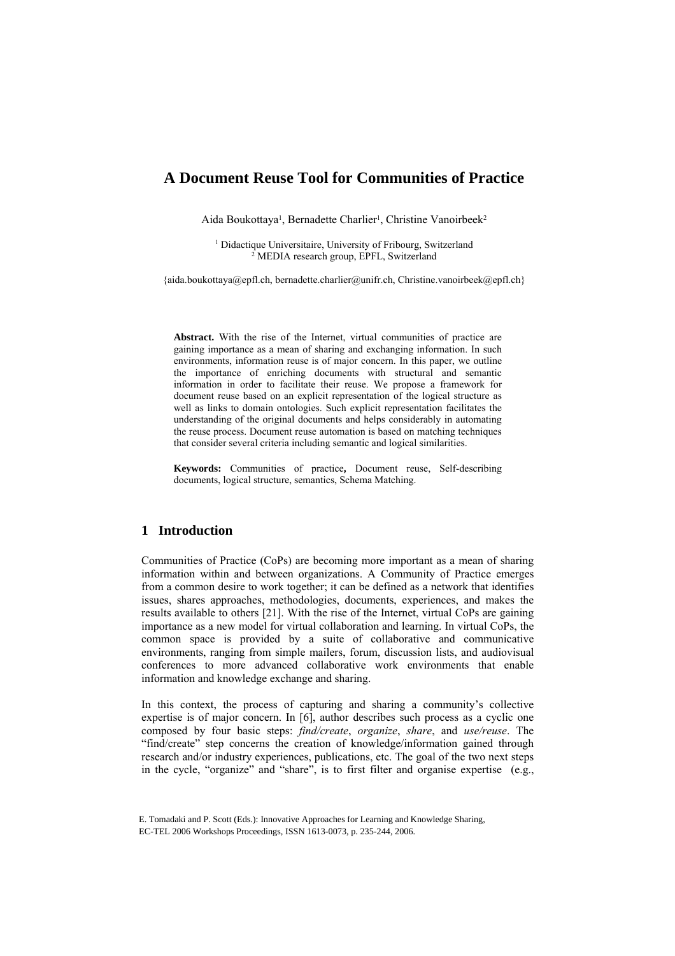# **A Document Reuse Tool for Communities of Practice**

Aida Boukottaya<sup>1</sup>, Bernadette Charlier<sup>1</sup>, Christine Vanoirbeek<sup>2</sup>

<sup>1</sup> Didactique Universitaire, University of Fribourg, Switzerland <sup>2</sup> MEDIA research group EPEL Switzerland <sup>2</sup> MEDIA research group, EPFL, Switzerland

{aida.boukottaya@epfl.ch, bernadette.charlier@unifr.ch, Christine.vanoirbeek@epfl.ch}

**Abstract.** With the rise of the Internet, virtual communities of practice are gaining importance as a mean of sharing and exchanging information. In such environments, information reuse is of major concern. In this paper, we outline the importance of enriching documents with structural and semantic information in order to facilitate their reuse. We propose a framework for document reuse based on an explicit representation of the logical structure as well as links to domain ontologies. Such explicit representation facilitates the understanding of the original documents and helps considerably in automating the reuse process. Document reuse automation is based on matching techniques that consider several criteria including semantic and logical similarities.

**Keywords:** Communities of practice**,** Document reuse, Self-describing documents, logical structure, semantics, Schema Matching.

# **1 Introduction**

Communities of Practice (CoPs) are becoming more important as a mean of sharing information within and between organizations. A Community of Practice emerges from a common desire to work together; it can be defined as a network that identifies issues, shares approaches, methodologies, documents, experiences, and makes the results available to others [21]. With the rise of the Internet, virtual CoPs are gaining importance as a new model for virtual collaboration and learning. In virtual CoPs, the common space is provided by a suite of collaborative and communicative environments, ranging from simple mailers, forum, discussion lists, and audiovisual conferences to more advanced collaborative work environments that enable information and knowledge exchange and sharing.

In this context, the process of capturing and sharing a community's collective expertise is of major concern. In [6], author describes such process as a cyclic one composed by four basic steps: *find/create*, *organize*, *share*, and *use/reuse*. The "find/create" step concerns the creation of knowledge/information gained through research and/or industry experiences, publications, etc. The goal of the two next steps in the cycle, "organize" and "share", is to first filter and organise expertise (e.g.,

E. Tomadaki and P. Scott (Eds.): Innovative Approaches for Learning and Knowledge Sharing, EC-TEL 2006 Workshops Proceedings, ISSN 1613-0073, p. 235-244, 2006.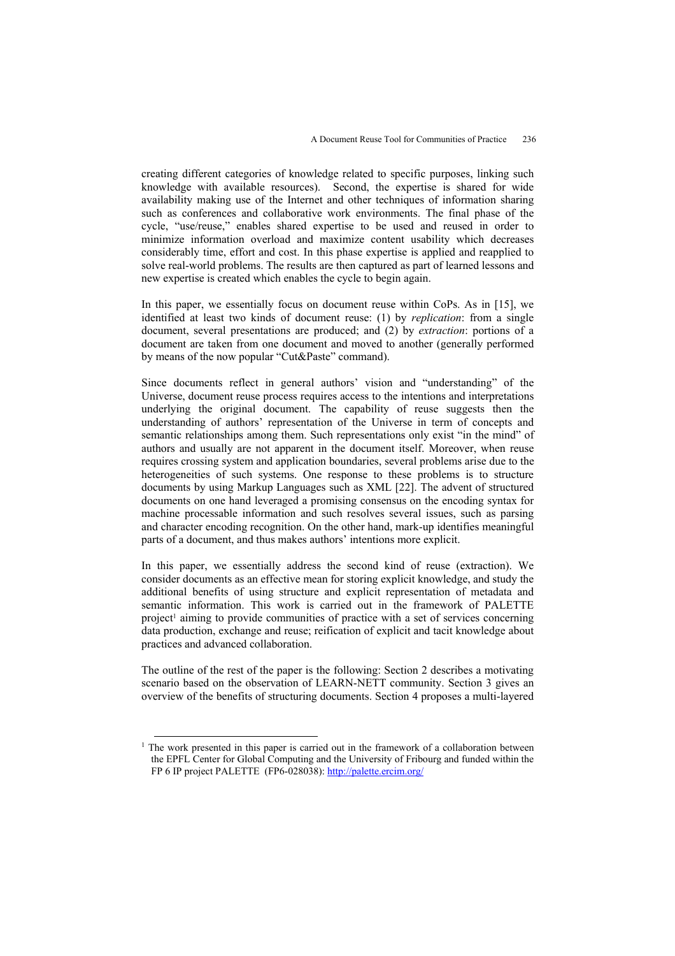creating different categories of knowledge related to specific purposes, linking such knowledge with available resources). Second, the expertise is shared for wide availability making use of the Internet and other techniques of information sharing such as conferences and collaborative work environments. The final phase of the cycle, "use/reuse," enables shared expertise to be used and reused in order to minimize information overload and maximize content usability which decreases considerably time, effort and cost. In this phase expertise is applied and reapplied to solve real-world problems. The results are then captured as part of learned lessons and new expertise is created which enables the cycle to begin again.

In this paper, we essentially focus on document reuse within CoPs. As in [15], we identified at least two kinds of document reuse: (1) by *replication*: from a single document, several presentations are produced; and (2) by *extraction*: portions of a document are taken from one document and moved to another (generally performed by means of the now popular "Cut&Paste" command).

Since documents reflect in general authors' vision and "understanding" of the Universe, document reuse process requires access to the intentions and interpretations underlying the original document. The capability of reuse suggests then the understanding of authors' representation of the Universe in term of concepts and semantic relationships among them. Such representations only exist "in the mind" of authors and usually are not apparent in the document itself. Moreover, when reuse requires crossing system and application boundaries, several problems arise due to the heterogeneities of such systems. One response to these problems is to structure documents by using Markup Languages such as XML [22]. The advent of structured documents on one hand leveraged a promising consensus on the encoding syntax for machine processable information and such resolves several issues, such as parsing and character encoding recognition. On the other hand, mark-up identifies meaningful parts of a document, and thus makes authors' intentions more explicit.

In this paper, we essentially address the second kind of reuse (extraction). We consider documents as an effective mean for storing explicit knowledge, and study the additional benefits of using structure and explicit representation of metadata and semantic information. This work is carried out in the framework of PALETTE project<sup>1</sup> aiming to provide communities of practice with a set of services concerning data production, exchange and reuse; reification of explicit and tacit knowledge about practices and advanced collaboration.

The outline of the rest of the paper is the following: Section 2 describes a motivating scenario based on the observation of LEARN-NETT community. Section 3 gives an overview of the benefits of structuring documents. Section 4 proposes a multi-layered

<sup>&</sup>lt;sup>1</sup> The work presented in this paper is carried out in the framework of a collaboration between the EPFL Center for Global Computing and the University of Fribourg and funded within the FP 6 IP project PALETTE (FP6-028038): http://palette.ercim.org/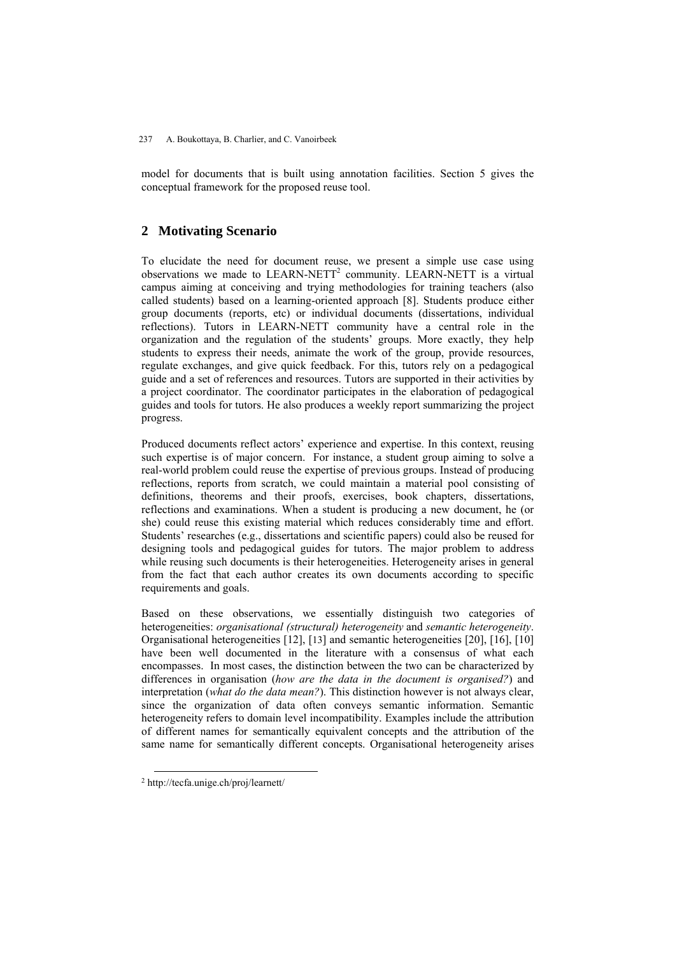model for documents that is built using annotation facilities. Section 5 gives the conceptual framework for the proposed reuse tool.

# **2 Motivating Scenario**

To elucidate the need for document reuse, we present a simple use case using observations we made to  $LEARN-NETT<sup>2</sup>$  community. LEARN-NETT is a virtual campus aiming at conceiving and trying methodologies for training teachers (also called students) based on a learning-oriented approach [8]. Students produce either group documents (reports, etc) or individual documents (dissertations, individual reflections). Tutors in LEARN-NETT community have a central role in the organization and the regulation of the students' groups. More exactly, they help students to express their needs, animate the work of the group, provide resources, regulate exchanges, and give quick feedback. For this, tutors rely on a pedagogical guide and a set of references and resources. Tutors are supported in their activities by a project coordinator. The coordinator participates in the elaboration of pedagogical guides and tools for tutors. He also produces a weekly report summarizing the project progress.

Produced documents reflect actors' experience and expertise. In this context, reusing such expertise is of major concern. For instance, a student group aiming to solve a real-world problem could reuse the expertise of previous groups. Instead of producing reflections, reports from scratch, we could maintain a material pool consisting of definitions, theorems and their proofs, exercises, book chapters, dissertations, reflections and examinations. When a student is producing a new document, he (or she) could reuse this existing material which reduces considerably time and effort. Students' researches (e.g., dissertations and scientific papers) could also be reused for designing tools and pedagogical guides for tutors. The major problem to address while reusing such documents is their heterogeneities. Heterogeneity arises in general from the fact that each author creates its own documents according to specific requirements and goals.

Based on these observations, we essentially distinguish two categories of heterogeneities: *organisational (structural) heterogeneity* and *semantic heterogeneity*. Organisational heterogeneities [12], [13] and semantic heterogeneities [20], [16], [10] have been well documented in the literature with a consensus of what each encompasses. In most cases, the distinction between the two can be characterized by differences in organisation (*how are the data in the document is organised?*) and interpretation (*what do the data mean?*). This distinction however is not always clear, since the organization of data often conveys semantic information. Semantic heterogeneity refers to domain level incompatibility. Examples include the attribution of different names for semantically equivalent concepts and the attribution of the same name for semantically different concepts. Organisational heterogeneity arises

 <sup>2</sup> http://tecfa.unige.ch/proj/learnett/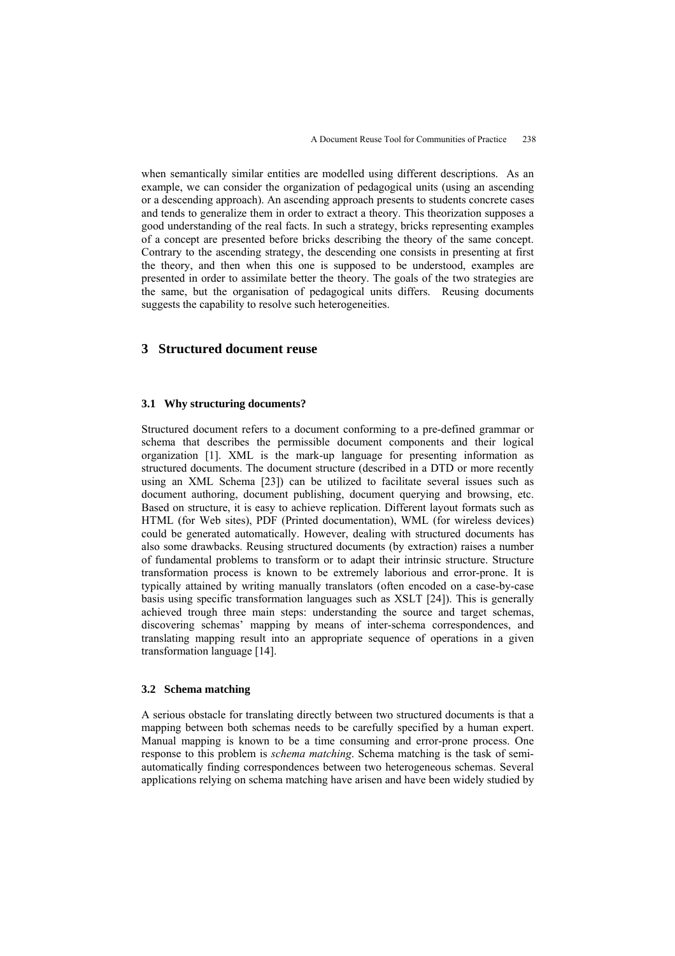when semantically similar entities are modelled using different descriptions. As an example, we can consider the organization of pedagogical units (using an ascending or a descending approach). An ascending approach presents to students concrete cases and tends to generalize them in order to extract a theory. This theorization supposes a good understanding of the real facts. In such a strategy, bricks representing examples of a concept are presented before bricks describing the theory of the same concept. Contrary to the ascending strategy, the descending one consists in presenting at first the theory, and then when this one is supposed to be understood, examples are presented in order to assimilate better the theory. The goals of the two strategies are the same, but the organisation of pedagogical units differs. Reusing documents suggests the capability to resolve such heterogeneities.

# **3 Structured document reuse**

#### **3.1 Why structuring documents?**

Structured document refers to a document conforming to a pre-defined grammar or schema that describes the permissible document components and their logical organization [1]. XML is the mark-up language for presenting information as structured documents. The document structure (described in a DTD or more recently using an XML Schema [23]) can be utilized to facilitate several issues such as document authoring, document publishing, document querying and browsing, etc. Based on structure, it is easy to achieve replication. Different layout formats such as HTML (for Web sites), PDF (Printed documentation), WML (for wireless devices) could be generated automatically. However, dealing with structured documents has also some drawbacks. Reusing structured documents (by extraction) raises a number of fundamental problems to transform or to adapt their intrinsic structure. Structure transformation process is known to be extremely laborious and error-prone. It is typically attained by writing manually translators (often encoded on a case-by-case basis using specific transformation languages such as XSLT [24]). This is generally achieved trough three main steps: understanding the source and target schemas, discovering schemas' mapping by means of inter-schema correspondences, and translating mapping result into an appropriate sequence of operations in a given transformation language [14].

#### **3.2 Schema matching**

A serious obstacle for translating directly between two structured documents is that a mapping between both schemas needs to be carefully specified by a human expert. Manual mapping is known to be a time consuming and error-prone process. One response to this problem is *schema matching*. Schema matching is the task of semiautomatically finding correspondences between two heterogeneous schemas. Several applications relying on schema matching have arisen and have been widely studied by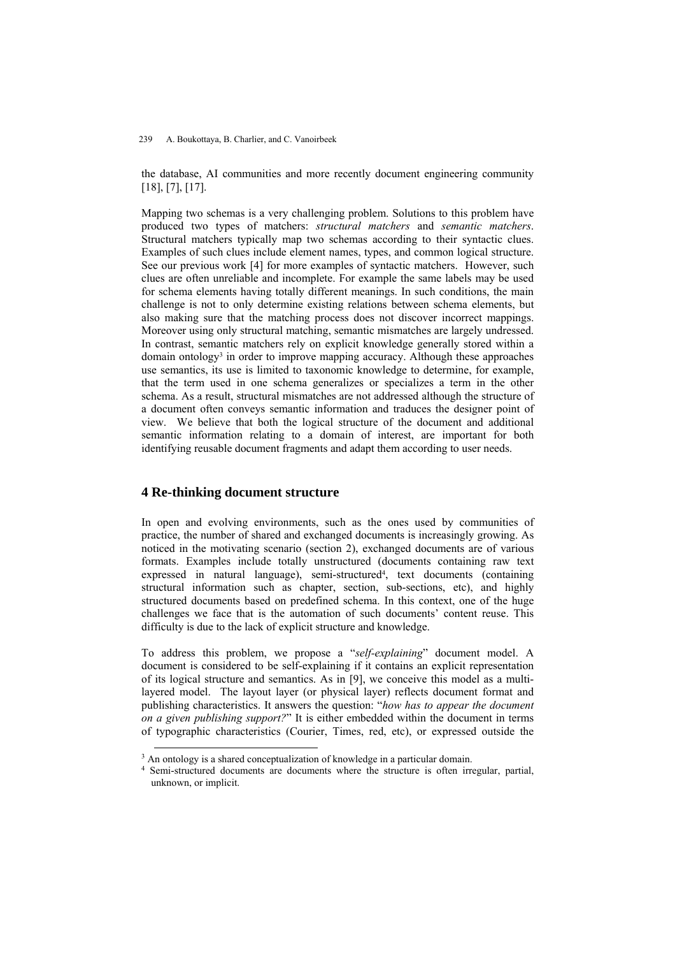#### 239 A. Boukottaya, B. Charlier, and C. Vanoirbeek

the database, AI communities and more recently document engineering community [18], [7], [17].

Mapping two schemas is a very challenging problem. Solutions to this problem have produced two types of matchers: *structural matchers* and *semantic matchers*. Structural matchers typically map two schemas according to their syntactic clues. Examples of such clues include element names, types, and common logical structure. See our previous work [4] for more examples of syntactic matchers. However, such clues are often unreliable and incomplete. For example the same labels may be used for schema elements having totally different meanings. In such conditions, the main challenge is not to only determine existing relations between schema elements, but also making sure that the matching process does not discover incorrect mappings. Moreover using only structural matching, semantic mismatches are largely undressed. In contrast, semantic matchers rely on explicit knowledge generally stored within a domain ontology<sup>3</sup> in order to improve mapping accuracy. Although these approaches use semantics, its use is limited to taxonomic knowledge to determine, for example, that the term used in one schema generalizes or specializes a term in the other schema. As a result, structural mismatches are not addressed although the structure of a document often conveys semantic information and traduces the designer point of view. We believe that both the logical structure of the document and additional semantic information relating to a domain of interest, are important for both identifying reusable document fragments and adapt them according to user needs.

### **4 Re-thinking document structure**

In open and evolving environments, such as the ones used by communities of practice, the number of shared and exchanged documents is increasingly growing. As noticed in the motivating scenario (section 2), exchanged documents are of various formats. Examples include totally unstructured (documents containing raw text expressed in natural language), semi-structured<sup>4</sup>, text documents (containing structural information such as chapter, section, sub-sections, etc), and highly structured documents based on predefined schema. In this context, one of the huge challenges we face that is the automation of such documents' content reuse. This difficulty is due to the lack of explicit structure and knowledge.

To address this problem, we propose a "*self-explaining*" document model. A document is considered to be self-explaining if it contains an explicit representation of its logical structure and semantics. As in [9], we conceive this model as a multilayered model. The layout layer (or physical layer) reflects document format and publishing characteristics. It answers the question: "*how has to appear the document on a given publishing support?*" It is either embedded within the document in terms of typographic characteristics (Courier, Times, red, etc), or expressed outside the

<sup>&</sup>lt;sup>3</sup> An ontology is a shared conceptualization of knowledge in a particular domain.<br><sup>4</sup> Semi-structured documents are documents where the structure is often irregular, partial, unknown, or implicit.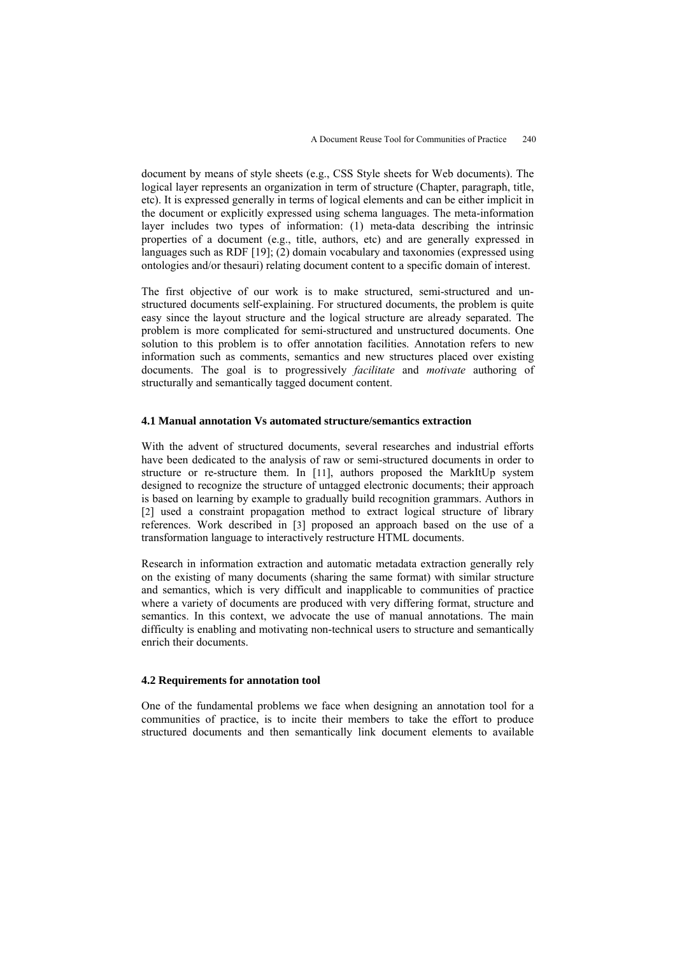document by means of style sheets (e.g., CSS Style sheets for Web documents). The logical layer represents an organization in term of structure (Chapter, paragraph, title, etc). It is expressed generally in terms of logical elements and can be either implicit in the document or explicitly expressed using schema languages. The meta-information layer includes two types of information: (1) meta-data describing the intrinsic properties of a document (e.g., title, authors, etc) and are generally expressed in languages such as RDF [19]; (2) domain vocabulary and taxonomies (expressed using ontologies and/or thesauri) relating document content to a specific domain of interest.

The first objective of our work is to make structured, semi-structured and unstructured documents self-explaining. For structured documents, the problem is quite easy since the layout structure and the logical structure are already separated. The problem is more complicated for semi-structured and unstructured documents. One solution to this problem is to offer annotation facilities. Annotation refers to new information such as comments, semantics and new structures placed over existing documents. The goal is to progressively *facilitate* and *motivate* authoring of structurally and semantically tagged document content.

#### **4.1 Manual annotation Vs automated structure/semantics extraction**

With the advent of structured documents, several researches and industrial efforts have been dedicated to the analysis of raw or semi-structured documents in order to structure or re-structure them. In [11], authors proposed the MarkItUp system designed to recognize the structure of untagged electronic documents; their approach is based on learning by example to gradually build recognition grammars. Authors in [2] used a constraint propagation method to extract logical structure of library references. Work described in [3] proposed an approach based on the use of a transformation language to interactively restructure HTML documents.

Research in information extraction and automatic metadata extraction generally rely on the existing of many documents (sharing the same format) with similar structure and semantics, which is very difficult and inapplicable to communities of practice where a variety of documents are produced with very differing format, structure and semantics. In this context, we advocate the use of manual annotations. The main difficulty is enabling and motivating non-technical users to structure and semantically enrich their documents.

#### **4.2 Requirements for annotation tool**

One of the fundamental problems we face when designing an annotation tool for a communities of practice, is to incite their members to take the effort to produce structured documents and then semantically link document elements to available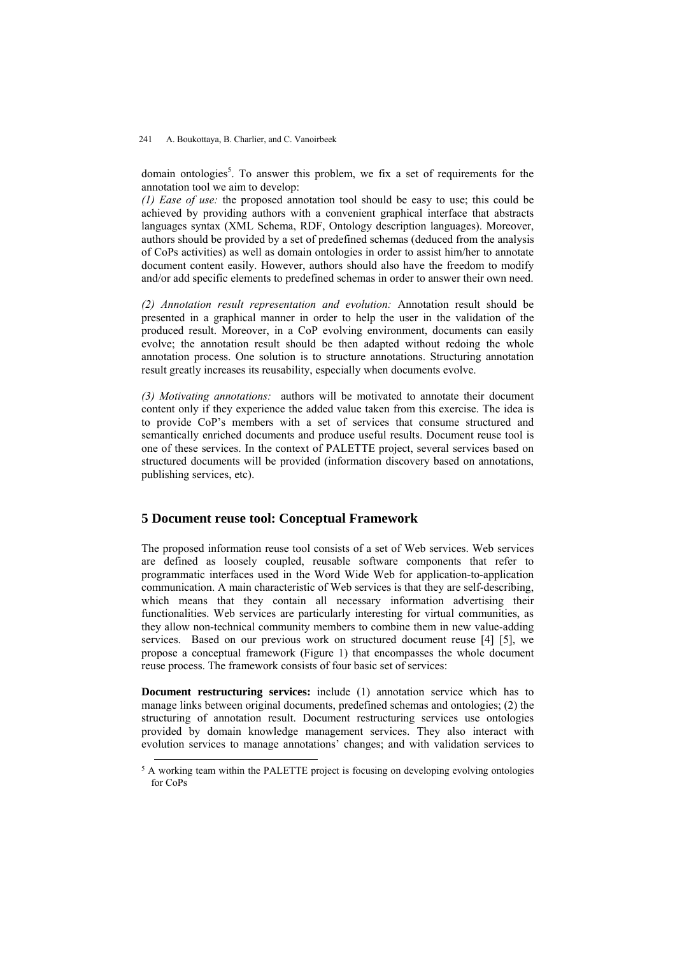domain ontologies<sup>5</sup>. To answer this problem, we fix a set of requirements for the annotation tool we aim to develop:

*(1) Ease of use:* the proposed annotation tool should be easy to use; this could be achieved by providing authors with a convenient graphical interface that abstracts languages syntax (XML Schema, RDF, Ontology description languages). Moreover, authors should be provided by a set of predefined schemas (deduced from the analysis of CoPs activities) as well as domain ontologies in order to assist him/her to annotate document content easily. However, authors should also have the freedom to modify and/or add specific elements to predefined schemas in order to answer their own need.

*(2) Annotation result representation and evolution:* Annotation result should be presented in a graphical manner in order to help the user in the validation of the produced result. Moreover, in a CoP evolving environment, documents can easily evolve; the annotation result should be then adapted without redoing the whole annotation process. One solution is to structure annotations. Structuring annotation result greatly increases its reusability, especially when documents evolve.

*(3) Motivating annotations:* authors will be motivated to annotate their document content only if they experience the added value taken from this exercise. The idea is to provide CoP's members with a set of services that consume structured and semantically enriched documents and produce useful results. Document reuse tool is one of these services. In the context of PALETTE project, several services based on structured documents will be provided (information discovery based on annotations, publishing services, etc).

### **5 Document reuse tool: Conceptual Framework**

The proposed information reuse tool consists of a set of Web services. Web services are defined as loosely coupled, reusable software components that refer to programmatic interfaces used in the Word Wide Web for application-to-application communication. A main characteristic of Web services is that they are self-describing, which means that they contain all necessary information advertising their functionalities. Web services are particularly interesting for virtual communities, as they allow non-technical community members to combine them in new value-adding services. Based on our previous work on structured document reuse [4] [5], we propose a conceptual framework (Figure 1) that encompasses the whole document reuse process. The framework consists of four basic set of services:

**Document restructuring services:** include (1) annotation service which has to manage links between original documents, predefined schemas and ontologies; (2) the structuring of annotation result. Document restructuring services use ontologies provided by domain knowledge management services. They also interact with evolution services to manage annotations' changes; and with validation services to

 $5$  A working team within the PALETTE project is focusing on developing evolving ontologies for CoPs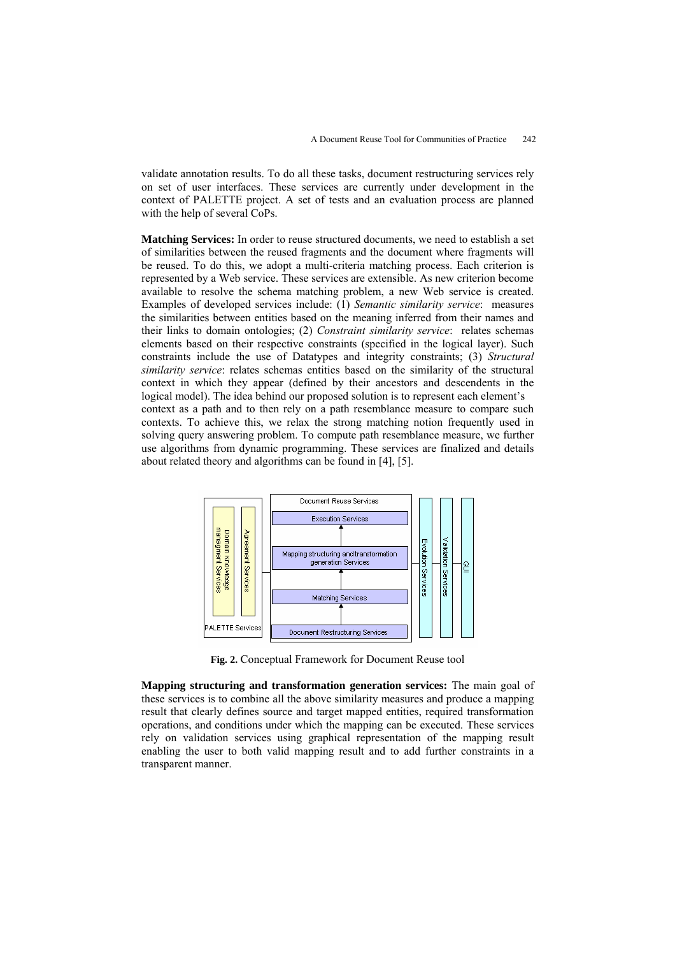validate annotation results. To do all these tasks, document restructuring services rely on set of user interfaces. These services are currently under development in the context of PALETTE project. A set of tests and an evaluation process are planned with the help of several CoPs.

**Matching Services:** In order to reuse structured documents, we need to establish a set of similarities between the reused fragments and the document where fragments will be reused. To do this, we adopt a multi-criteria matching process. Each criterion is represented by a Web service. These services are extensible. As new criterion become available to resolve the schema matching problem, a new Web service is created. Examples of developed services include: (1) *Semantic similarity service*: measures the similarities between entities based on the meaning inferred from their names and their links to domain ontologies; (2) *Constraint similarity service*: relates schemas elements based on their respective constraints (specified in the logical layer). Such constraints include the use of Datatypes and integrity constraints; (3) *Structural similarity service*: relates schemas entities based on the similarity of the structural context in which they appear (defined by their ancestors and descendents in the logical model). The idea behind our proposed solution is to represent each element's context as a path and to then rely on a path resemblance measure to compare such contexts. To achieve this, we relax the strong matching notion frequently used in solving query answering problem. To compute path resemblance measure, we further use algorithms from dynamic programming. These services are finalized and details about related theory and algorithms can be found in [4], [5].



**Fig. 2.** Conceptual Framework for Document Reuse tool

**Mapping structuring and transformation generation services:** The main goal of these services is to combine all the above similarity measures and produce a mapping result that clearly defines source and target mapped entities, required transformation operations, and conditions under which the mapping can be executed. These services rely on validation services using graphical representation of the mapping result enabling the user to both valid mapping result and to add further constraints in a transparent manner.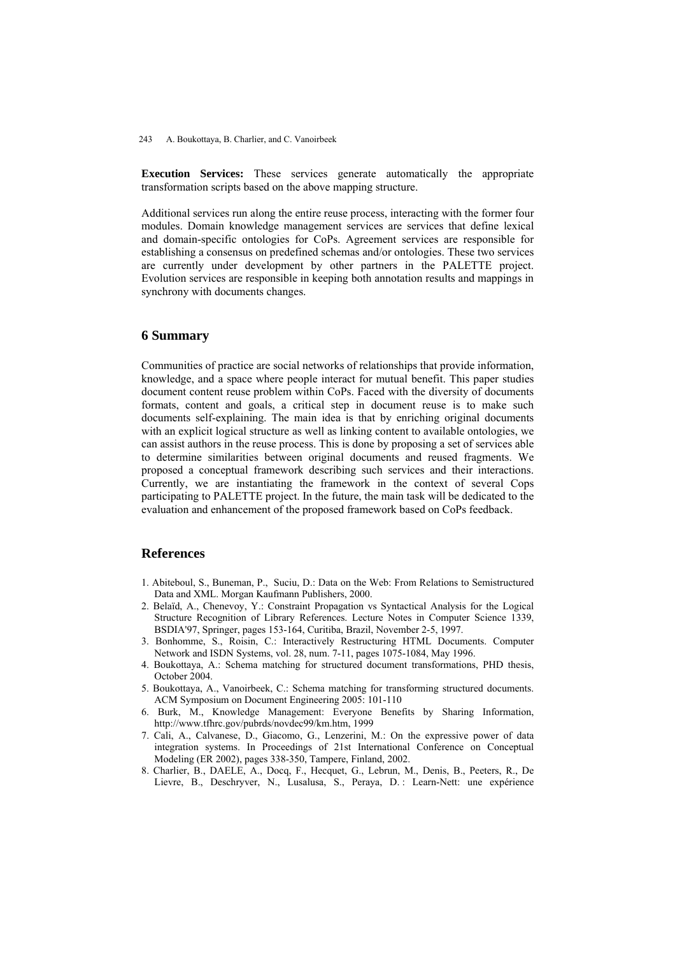**Execution Services:** These services generate automatically the appropriate transformation scripts based on the above mapping structure.

Additional services run along the entire reuse process, interacting with the former four modules. Domain knowledge management services are services that define lexical and domain-specific ontologies for CoPs. Agreement services are responsible for establishing a consensus on predefined schemas and/or ontologies. These two services are currently under development by other partners in the PALETTE project. Evolution services are responsible in keeping both annotation results and mappings in synchrony with documents changes.

# **6 Summary**

Communities of practice are social networks of relationships that provide information, knowledge, and a space where people interact for mutual benefit. This paper studies document content reuse problem within CoPs. Faced with the diversity of documents formats, content and goals, a critical step in document reuse is to make such documents self-explaining. The main idea is that by enriching original documents with an explicit logical structure as well as linking content to available ontologies, we can assist authors in the reuse process. This is done by proposing a set of services able to determine similarities between original documents and reused fragments. We proposed a conceptual framework describing such services and their interactions. Currently, we are instantiating the framework in the context of several Cops participating to PALETTE project. In the future, the main task will be dedicated to the evaluation and enhancement of the proposed framework based on CoPs feedback.

# **References**

- 1. Abiteboul, S., Buneman, P., Suciu, D.: Data on the Web: From Relations to Semistructured Data and XML. Morgan Kaufmann Publishers, 2000.
- 2. Belaïd, A., Chenevoy, Y.: Constraint Propagation vs Syntactical Analysis for the Logical Structure Recognition of Library References. Lecture Notes in Computer Science 1339, BSDIA'97, Springer, pages 153-164, Curitiba, Brazil, November 2-5, 1997.
- 3. Bonhomme, S., Roisin, C.: Interactively Restructuring HTML Documents. Computer Network and ISDN Systems, vol. 28, num. 7-11, pages 1075-1084, May 1996.
- 4. Boukottaya, A.: Schema matching for structured document transformations, PHD thesis, October 2004.
- 5. Boukottaya, A., Vanoirbeek, C.: Schema matching for transforming structured documents. ACM Symposium on Document Engineering 2005: 101-110
- 6. Burk, M., Knowledge Management: Everyone Benefits by Sharing Information, http://www.tfhrc.gov/pubrds/novdec99/km.htm, 1999
- 7. Cali, A., Calvanese, D., Giacomo, G., Lenzerini, M.: On the expressive power of data integration systems. In Proceedings of 21st International Conference on Conceptual Modeling (ER 2002), pages 338-350, Tampere, Finland, 2002.
- 8. Charlier, B., DAELE, A., Docq, F., Hecquet, G., Lebrun, M., Denis, B., Peeters, R., De Lievre, B., Deschryver, N., Lusalusa, S., Peraya, D. : Learn-Nett: une expérience